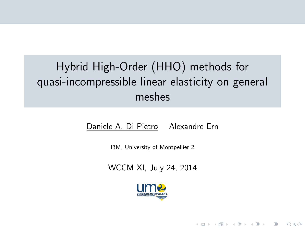# Hybrid High-Order (HHO) methods for quasi-incompressible linear elasticity on general meshes

Daniele A. Di Pietro Alexandre Ern

I3M, University of Montpellier 2

WCCM XI, July 24, 2014



**KOD KARD KED KED E VOOR**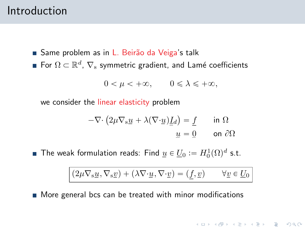### Introduction

- Same problem as in L. Beirão da Veiga's talk
- For  $\Omega \subset \mathbb{R}^d$ ,  $\nabla_{\mathbf{s}}$  symmetric gradient, and Lamé coefficients

$$
0 < \mu < +\infty, \qquad 0 \leqslant \lambda \leqslant +\infty,
$$

we consider the linear elasticity problem

$$
-\nabla \cdot (2\mu \nabla_s \underline{u} + \lambda (\nabla \cdot \underline{u}) \underline{I}_d) = \underline{f} \quad \text{in } \Omega
$$

$$
\underline{u} = \underline{0} \quad \text{on } \partial \Omega
$$

The weak formulation reads: Find  $\underline{u} \in \underline{U}_0 := H^1_0(\Omega)^d$  s.t.

$$
(2\mu \nabla_{\mathbf{s}}\underline{u}\,,\nabla_{\mathbf{s}}\underline{v})+(\lambda \nabla\!\cdot \underline{u}\,,\nabla\!\cdot \underline{v})=(\underline{f},\underline{v}) \qquad \forall \underline{v}\in \underline{U}_0
$$

**KORK ERREST ORA** 

**More general bcs can be treated with minor modifications**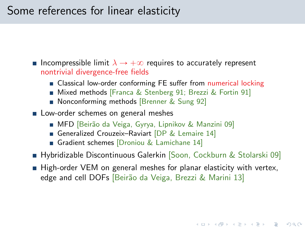## Some references for linear elasticity

**Incompressible limit**  $\lambda \rightarrow +\infty$  requires to accurately represent nontrivial divergence-free fields

- **Example 2** Classical low-order conforming FE suffer from numerical locking
- Mixed methods [Franca & Stenberg 91; Brezzi & Fortin 91]
- Nonconforming methods [Brenner & Sung 92]
- **Low-order schemes on general meshes** 
	- MFD [Beirão da Veiga, Gyrya, Lipnikov & Manzini 09]
	- Generalized Crouzeix-Raviart [DP & Lemaire 14]
	- Gradient schemes [Droniou & Lamichane 14]
- **Hybridizable Discontinuous Galerkin** [Soon, Cockburn & Stolarski 09]
- High-order VEM on general meshes for planar elasticity with vertex, edge and cell DOFs [Beirão da Veiga, Brezzi & Marini 13]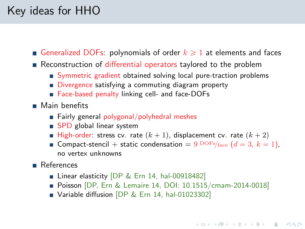## Key ideas for HHO

Generalized DOFs: polynomials of order  $k \geqslant 1$  at elements and faces

- Reconstruction of differential operators taylored to the problem
	- Symmetric gradient obtained solving local pure-traction problems
	- Divergence satisfying a commuting diagram property
	- Face-based penalty linking cell- and face-DOFs
- **Main benefits** 
	- $\blacksquare$  Fairly general polygonal/polyhedral meshes
	- SPD global linear system
	- High-order: stress cv. rate  $(k + 1)$ , displacement cv. rate  $(k + 2)$
	- **Compact-stencil** + static condensation =  $9^{DOFs}/face$  ( $d = 3, k = 1$ ), no vertex unknowns
- **References** 
	- Linear elasticity [DP & Ern 14, [hal-00918482\]](http://hal.archives-ouvertes.fr/hal-00918482)
	- **Poisson** [DP, Ern & Lemaire 14, DOI: [10.1515/cmam-2014-0018\]](http://dx.doi.org/10.1515/cmam-2014-0018)
	- Variable diffusion [DP & Ern 14, [hal-01023302\]](http://hal.archives-ouvertes.fr/hal-01023302)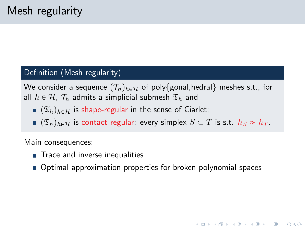#### Definition (Mesh regularity)

We consider a sequence  $(\mathcal{T}_h)_{h \in \mathcal{H}}$  of poly{gonal,hedral} meshes s.t., for all  $h \in \mathcal{H}$ ,  $\mathcal{T}_h$  admits a simplicial submesh  $\mathfrak{T}_h$  and

- $(\mathfrak{T}_h)_{h \in \mathcal{H}}$  is shape-regular in the sense of Ciarlet;
- $\bullet$   $(\mathfrak{T}_h)_{h \in \mathcal{H}}$  is contact regular: every simplex  $S \subset T$  is s.t.  $h_S \approx h_T$ .

Main consequences:

- Trace and inverse inequalities
- Optimal approximation properties for broken polynomial spaces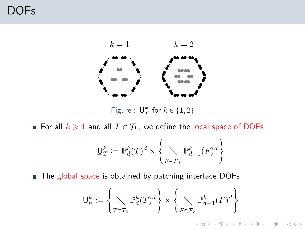## DOFs



Figure :  $\underline{\mathsf{U}}_T^k$  for  $k \in \{1, 2\}$ 

For all  $k \geq 1$  and all  $T \in \mathcal{T}_h$ , we define the local space of DOFs

$$
\underline{\mathsf{U}}_T^k := \mathbb{P}^k_d(T)^d \times \left\{ \bigtimes_{F \in \mathcal{F}_T} \mathbb{P}^k_{d-1}(F)^d \right\}
$$

■ The global space is obtained by patching interface DOFs

$$
\underline{\mathsf{U}}_h^k := \left\{ \bigtimes_{T \in \mathcal{T}_h} \mathbb{P}_d^k(T)^d \right\} \times \left\{ \bigtimes_{F \in \mathcal{F}_h} \mathbb{P}_{d-1}^k(F)^d \right\}
$$

イロト イ母 トイミト イミト ニヨー りんぺ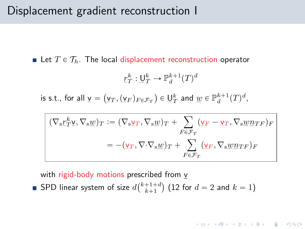### Displacement gradient reconstruction I

**Example 1** Let  $T \in \mathcal{T}_h$ . The local displacement reconstruction operator

$$
\underline{r}_T^k : \underline{\mathsf{U}}_T^k \to \mathbb{P}_d^{k+1}(T)^d
$$

is s.t., for all  $\underline{v} =$  $\underline{{\sf v}}_T, (\underline{{\sf v}}_F)_{F\in \mathcal{F}_T}$  $\in \underline{\mathsf{U}}_T^k$  and  $\underline{w} \in \mathbb{P}_d^{k+1}(T)^d$ ,

$$
(\nabla_{\mathbf{s}} \underline{r}_{T}^{k} \underline{\mathbf{v}}, \nabla_{\mathbf{s}} \underline{\mathbf{w}})_{T} := (\nabla_{\mathbf{s}} \underline{\mathbf{v}}_{T}, \nabla_{\mathbf{s}} \underline{\mathbf{w}})_{T} + \sum_{F \in \mathcal{F}_{T}} (\underline{\mathbf{v}}_{F} - \underline{\mathbf{v}}_{T}, \nabla_{\mathbf{s}} \underline{\mathbf{w}} \underline{n}_{TF})_{F}
$$

$$
= -(\underline{\mathbf{v}}_{T}, \nabla \cdot \nabla_{\mathbf{s}} \underline{\mathbf{w}})_{T} + \sum_{F \in \mathcal{F}_{T}} (\underline{\mathbf{v}}_{F}, \nabla_{\mathbf{s}} \underline{\mathbf{w}} \underline{n}_{TF})_{F}
$$

**KORK ERREST ORA** 

with rigid-body motions prescribed from <u>v</u>

SPD linear system of size  $d\binom{k+1+d}{k+1}$  (12 for  $d = 2$  and  $k = 1$ )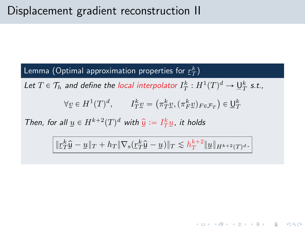### Lemma (Optimal approximation properties for  $\mathit{\mathit{r}}_{T}^{\mathit{k}}$ )

Let  $T \in \mathcal{T}_h$  and define the local interpolator  $I_T^k : H^1(T)^d \to \underline{\mathsf{U}}_T^k$  s.t.,

$$
\forall \underline{v} \in H^{1}(T)^{d}, \qquad I^{k}_{T}\underline{v} = (\pi^{k}_{T}\underline{v}, (\pi^{k}_{F}\underline{v})_{F \in \mathcal{F}_{T}}) \in \underline{\mathsf{U}}_{T}^{k}
$$

Then, for all  $\underline{u} \in H^{k+2}(T)^d$  with  $\underline{\hat{u}} := I_T^k \underline{u}$ , it holds

$$
\|{\underline r}_T^k\widehat{{\underline u}}-{\underline u}\|_T+h_T\|\nabla_{\mathbf s}({\underline r}_T^k\widehat{{\underline u}}-{\underline u})\|_T\lesssim h_T^{k+2}\|{\underline u}\|_{H^{k+2}(T)^d}.
$$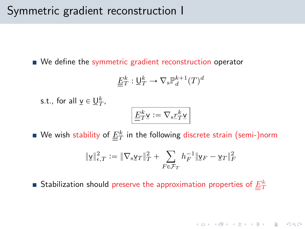### Symmetric gradient reconstruction I

We define the symmetric gradient reconstruction operator

$$
\underline{\underline{E}}_T^k:\underline{\mathsf{U}}_T^k\to \nabla_{\mathsf{s}}\mathbb{P}_d^{k+1}(T)^d
$$

s.t., for all  $\underline{v} \in \underline{U}_T^k$ ,

$$
\boxed{\underline{E}_T^k\underline{\mathbf{v}}:=\nabla_{\mathbf{s}}\underline{r}_T^k\underline{\mathbf{v}}}
$$

We wish stability of  $\underline{E}_T^k$  in the following discrete strain (semi-)norm

$$
\|\underline{\mathbf{v}}\|^2_{\epsilon,T}:=\|\nabla_{\mathbf{s}}\underline{\mathbf{v}}_T\|^2_T+\sum_{F\in\mathcal{F}_T}h_F^{-1}\|\underline{\mathbf{v}}_F-\underline{\mathbf{v}}_T\|^2_F
$$

Stabilization should preserve the approximation properties of  $\underline{E}_T^k$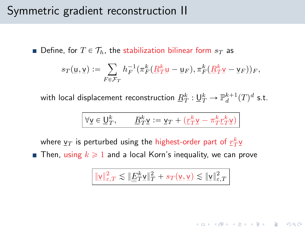### Symmetric gradient reconstruction II

**Define, for**  $T \in \mathcal{T}_h$ , the stabilization bilinear form  $s_T$  as

$$
s_T(\underline{\mathbf{u}}, \underline{\mathbf{v}}) := \sum_{F \in \mathcal{F}_T} h_F^{-1} \big( \pi_F^k \big( \underline{R}_T^k \underline{\mathbf{u}} - \underline{\mathbf{u}}_F \big), \pi_F^k \big( \underline{R}_T^k \underline{\mathbf{v}} - \underline{\mathbf{v}}_F \big) \big)_F,
$$

with local displacement reconstruction  $\underline{R}_T^k:\underline{\mathsf{U}}_T^k\to\mathbb{P}_d^{k+1}(T)^d$  s.t.

$$
\forall \underline{\mathsf{v}} \in \underline{\mathsf{U}}_T^k, \qquad \underline{R}_T^k \underline{\mathsf{v}} \mathrel{\mathop:}= \underline{\mathsf{v}}_T + \big(\underline{r}_T^k \underline{\mathsf{v}} - \pi_T^k \underline{r}_T^k \underline{\mathsf{v}}\big)
$$

where  $\underline{{\sf v}}_T$  is perturbed using the highest-order part of  $\underline{r}_T^k \underline{{\sf v}}$ **Then, using**  $k \ge 1$  **and a local Korn's inequality, we can prove** 

$$
\|\underline{\mathbf{v}}\|^2_{\varepsilon,T}\lesssim\|\underline{\underline{E}}_T^k\underline{\mathbf{v}}\|^2_T+s_T(\underline{\mathbf{v}},\underline{\mathbf{v}})\lesssim\|\underline{\mathbf{v}}\|^2_{\varepsilon,T}
$$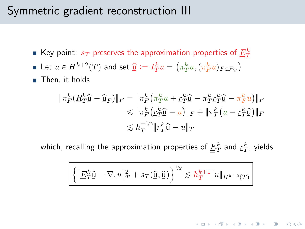### Symmetric gradient reconstruction III

- Key point:  $s_T$  preserves the approximation properties of  $\frac{E_0^k}{\equiv T}$
- Let  $u \in H^{k+2}(T)$  and set  $\widehat{\mu} \coloneqq I_T^k u = \left(\pi_T^k u, (\pi_F^k u)_{F \in \mathcal{F}_T}\right)$
- Then, it holds

$$
\begin{aligned} \|\pi_F^k(\underline{R}_T^k\hat{\underline{\mathbf{u}}} - \hat{\underline{\mathbf{u}}}_F)\|_F &= \|\pi_F^k(\pi_T^ku + \underline{r}_T^k\hat{\underline{\mathbf{u}}} - \pi_T^k\underline{r}_T^k\hat{\underline{\mathbf{u}}} - \pi_F^ku)\|_F \\ &\le \|\pi_F^k(\underline{r}_T^k\hat{\underline{\mathbf{u}}} - u)\|_F + \|\pi_T^k(u - \underline{r}_T^k\hat{\underline{\mathbf{u}}})\|_F \\ &\le h_T^{-1/2}\|\underline{r}_T^k\hat{\underline{\mathbf{u}}} - u\|_T \end{aligned}
$$

which, recalling the approximation properties of  $\varunderline{E}_T^k$  and  $\underline{r}_T^k$ , yields

$$
\boxed{\left\{\|\underline{\underline{F}}_T^k\hat{\underline{\mathsf{u}}}-\nabla_\mathsf{s} u\|_T^2 + s_T(\hat{\underline{\mathsf{u}}},\hat{\underline{\mathsf{u}}})\right\}^{1\!/\!2}\lesssim h_T^{k+1}\|u\|_{H^{k+2}(T)}}
$$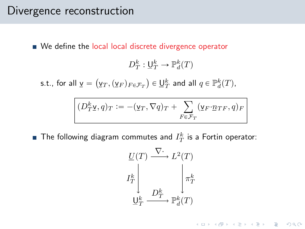### Divergence reconstruction

We define the local local discrete divergence operator

$$
D_T^k: \underline{\mathsf{U}}_T^k \to \mathbb{P}_d^k(T)
$$

s.t., for all  $\underline{v} =$  $\mathcal{L}$  $\underline{{\sf v}}_T, (\underline{{\sf v}}_F)_{F\in \mathcal{F}_T}$ ˘  $\in \underline{\mathsf{U}}_T^k$  and all  $q \in \mathbb{P}_d^k(T)$ ,

$$
\boxed{(D_T^k \underline{\mathsf{v}},q)_T := -(\underline{\mathsf{v}}_T,\nabla q)_T + \sum_{F \in \mathcal{F}_T} (\underline{\mathsf{v}}_F\cdot \underline{n}_{TF},q)_F}
$$

The following diagram commutes and  $I_T^k$  is a Fortin operator:

$$
\begin{array}{ccc}\n\underline{U}(T) & \xrightarrow{\nabla \cdot} & L^2(T) \\
I_T^k & & \pi_T^k \\
& D_T^k & \xrightarrow{\nabla^k(T)} & \mathbb{P}_d^k(T)\n\end{array}
$$

K ロ > K @ > K 할 > K 할 > 1 할 > 9 Q Q\*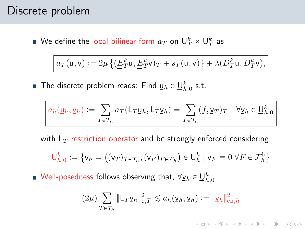### Discrete problem

We define the local bilinear form  $a_T$  on  $\underline{\mathsf{U}}_T^k\times \underline{\mathsf{U}}_T^k$  as

$$
a_T(\underline{\mathbf{u}}, \underline{\mathbf{v}}) := 2\mu \left\{ (\underline{\underline{E}}_T^k \underline{\mathbf{u}}, \underline{\underline{E}}_T^k \underline{\mathbf{v}})_T + s_T(\underline{\mathbf{u}}, \underline{\mathbf{v}}) \right\} + \lambda (D_T^k \underline{\mathbf{u}}, D_T^k \underline{\mathbf{v}}),
$$

The discrete problem reads: Find  $\underline{\mathsf{u}}_h\in \underline{\mathsf{U}}_{h,0}^k$  s.t.

$$
a_h(\underline{\mathsf{u}}_h, \underline{\mathsf{v}}_h) := \sum_{T \in \mathcal{T}_h} a_T(\underline{\mathsf{L}}_T \underline{\mathsf{u}}_h, \underline{\mathsf{L}}_T \underline{\mathsf{v}}_h) = \sum_{T \in \mathcal{T}_h} (\underline{f}, \underline{\mathsf{v}}_T)_T \quad \forall \underline{\mathsf{v}}_h \in \underline{\mathsf{U}}_{h,0}^k
$$

with  $L_T$  restriction operator and bc strongly enforced considering

$$
\underline{\mathsf{U}}_{h,0}^k := \{ \underline{\mathsf{v}}_h = ((\underline{\mathsf{v}}_T)_{T \in \mathcal{T}_h}, (\underline{\mathsf{v}}_F)_{F \in \mathcal{F}_h}) \in \underline{\mathsf{U}}_h^k \mid \underline{\mathsf{v}}_F \equiv \underline{0} \ \forall F \in \mathcal{F}_h^{\mathrm{b}} \}
$$

Well-posedness follows observing that,  $\forall \underline{\mathsf{v}}_h \in \underline{\mathsf{U}}_{h,0}^k,$ 

$$
(2\mu) \sum_{T \in \mathcal{T}_h} \|\mathsf{L}_T \mathsf{y}_h\|_{\varepsilon,T}^2 \lesssim a_h(\mathsf{y}_h, \mathsf{y}_h) := \|\mathsf{y}_h\|_{\mathrm{en},h}^2
$$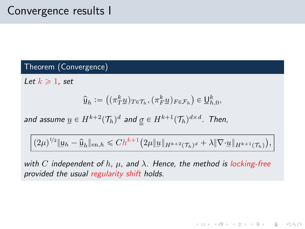## Convergence results I

#### Theorem (Convergence)

Let  $k \geqslant 1$ , set

$$
\widehat{\underline{\mathsf{u}}}_h := \left( \left( \pi_T^k \underline{u} \right)_{T \in \mathcal{T}_h}, \left( \pi_F^k \underline{u} \right)_{F \in \mathcal{F}_h} \right) \in \underline{\mathsf{U}}_{h,0}^k,
$$

and assume  $\underline{u} \in H^{k+2}(\mathcal{T}_h)^d$  and  $\underline{g} \in H^{k+1}(\mathcal{T}_h)^{d \times d}$ . Then,

$$
(2\mu)^{1/2}\|\underline{\mathbf{u}}_h-\widehat{\underline{\mathbf{u}}}_h\|_{\mathrm{en},h}\leqslant Ch^{k+1}\big(2\mu\|\underline{\mathbf{u}}\|_{H^{k+2}(\mathcal{T}_h)^d}+\lambda\|\nabla\cdot\underline{\mathbf{u}}\|_{H^{k+1}(\mathcal{T}_h)}\big),
$$

with C independent of h,  $\mu$ , and  $\lambda$ . Hence, the method is locking-free provided the usual regularity shift holds.

K ロ ▶ K @ ▶ K 할 ▶ K 할 ▶ ... 할 ... 9 Q Q\*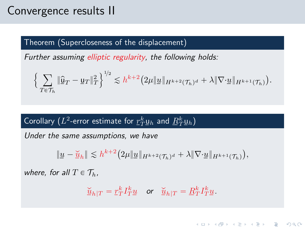## Convergence results II

#### Theorem (Supercloseness of the displacement)

Further assuming elliptic regularity, the following holds:

$$
\Big\{\sum_{T\in\mathcal{T}_h}\|\widehat{\underline{u}}_T-\underline{u}_T\|_T^2\Big\}^{1/2}\lesssim h^{k+2}\big(2\mu\|\underline{u}\|_{H^{k+2}(\mathcal{T}_h)^d}+\lambda\|\nabla\cdot\underline{u}\|_{H^{k+1}(\mathcal{T}_h)}\big).
$$

### Corollary ( $L^2$ -error estimate for  $\mathit{\underline{r}}_T^k$ <u>u</u> $_h$  and  $\underline{R}_T^k$ <u>u</u> $_h$ )

Under the same assumptions, we have

$$
\|\underline{u}-\underline{\check{u}}_h\| \lesssim h^{k+2} \big(2\mu \|\underline{u}\|_{H^{k+2}(\mathcal{T}_h)^d} + \lambda \|\nabla \cdot \underline{u}\|_{H^{k+1}(\mathcal{T}_h)}\big),
$$

where, for all  $T \in \mathcal{T}_h$ ,

$$
\underline{\check{u}}_{h|T} = \underline{r}_T^k I_T^k \underline{u} \quad \text{ or } \quad \underline{\check{u}}_{h|T} = \underline{R}_T^k I_T^k \underline{u}.
$$

KEE KAREK KER EE YA G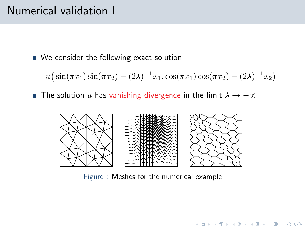## Numerical validation I

We consider the following exact solution:

 $\underline{u}$  $\overline{\phantom{a}}$  $\sin(\pi x_1)\sin(\pi x_2) + (2\lambda)^{-1}x_1, \cos(\pi x_1)\cos(\pi x_2) + (2\lambda)^{-1}x_2$  $\ddot{\phantom{a}}$ 

**The solution** u has vanishing divergence in the limit  $\lambda \rightarrow +\infty$ 



Figure : Meshes for the numerical example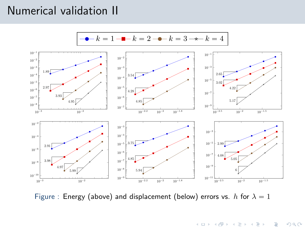## Numerical validation II



Figure : Energy (above) and displacement (below) errors vs. h for  $\lambda = 1$ 

<span id="page-16-0"></span>K ロ ▶ K @ ▶ K 할 ▶ K 할 ▶ ... 할 ...  $2Q$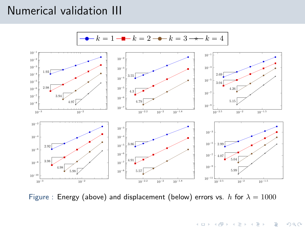## Numerical validation III



Figure : Energy (above) and displacement (below) errors vs. h for  $\lambda = 1000$ 

イロト イ部 トイをトイをトー  $\equiv$  $2Q$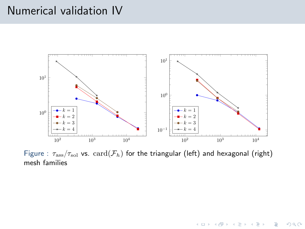### Numerical validation IV



Figure :  $\tau_{\rm ass}/\tau_{\rm sol}$  vs.  $\mathrm{card}(\mathcal{F}_h)$  for the triangular (left) and hexagonal (right) mesh families

K ロ > K @ > K 할 > K 할 > 1 할 : ⊙ Q Q\*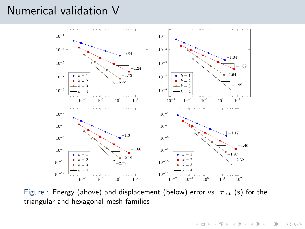### Numerical validation V



Figure : Energy (above) and displacement (below) error vs.  $\tau_{\rm tot}$  (s) for the triangular and hexagonal mesh families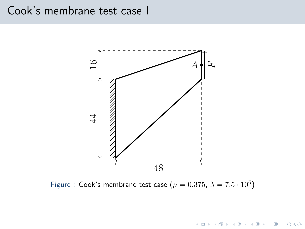### Cook's membrane test case I



Figure : Cook's membrane test case  $(\mu = 0.375, \ \lambda = 7.5 \cdot 10^6)$ 

K ロ > K 御 > K 差 > K 差 > → 差 → の Q Q <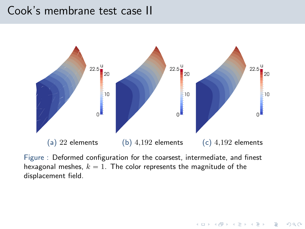### Cook's membrane test case II



Figure : Deformed configuration for the coarsest, intermediate, and finest hexagonal meshes,  $k = 1$ . The color represents the magnitude of the displacement field.

**KOD KARD KED KED E VOOR**